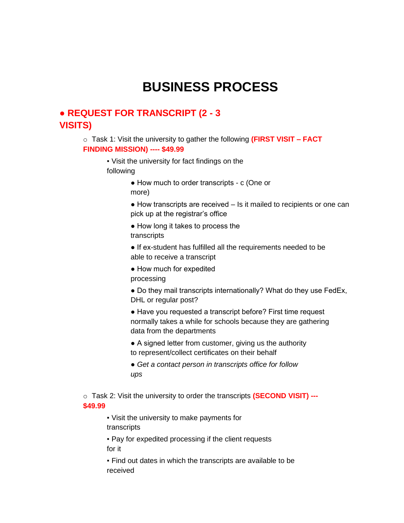## **BUSINESS PROCESS**

## ● **REQUEST FOR TRANSCRIPT (2 - 3 VISITS)**

o Task 1: Visit the university to gather the following **(FIRST VISIT – FACT FINDING MISSION) ---- \$49.99** 

- Visit the university for fact findings on the following
	- How much to order transcripts c (One or more)
	- How transcripts are received Is it mailed to recipients or one can pick up at the registrar's office
	- How long it takes to process the transcripts
	- If ex-student has fulfilled all the requirements needed to be able to receive a transcript
	- How much for expedited
	- processing
	- Do they mail transcripts internationally? What do they use FedEx, DHL or regular post?
	- Have you requested a transcript before? First time request normally takes a while for schools because they are gathering data from the departments
	- A signed letter from customer, giving us the authority to represent/collect certificates on their behalf
	- *Get a contact person in transcripts office for follow ups*

o Task 2: Visit the university to order the transcripts **(SECOND VISIT) --- \$49.99** 

▪ Visit the university to make payments for transcripts

▪ Pay for expedited processing if the client requests for it

▪ Find out dates in which the transcripts are available to be received